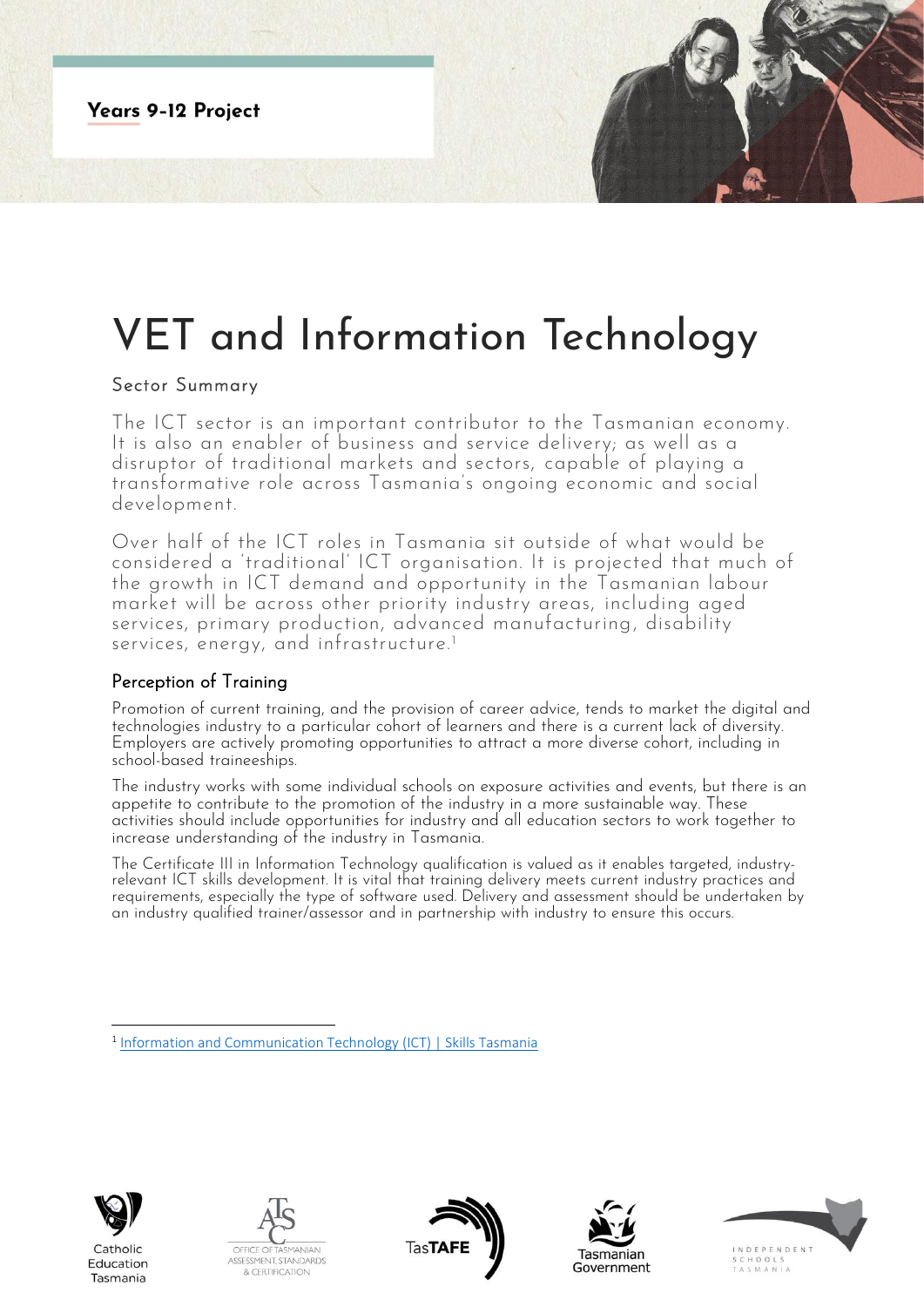**Years 9-12 Project** 

# VET and Information Technology

## Sector Summary

The ICT sector is an important contributor to the Tasmanian economy. It is also an enabler of business and service delivery; as well as a disruptor of traditional markets and sectors, capable of playing a transformative role across Tasmania's ongoing economic and social development.

Over half of the ICT roles in Tasmania sit outside of what would be considered a 'traditional' ICT organisation. It is projected that much of the growth in ICT demand and opportunity in the Tasmanian labour market will be across other priority industry areas, including aged services, primary production, advanced manufacturing, disability services, energy, and infrastructure.<sup>1</sup>

## Perception of Training

Promotion of current training, and the provision of career advice, tends to market the digital and technologies industry to a particular cohort of learners and there is a current lack of diversity. Employers are actively promoting opportunities to attract a more diverse cohort, including in school-based traineeships.

The industry works with some individual schools on exposure activities and events, but there is an appetite to contribute to the promotion of the industry in a more sustainable way. These activities should include opportunities for industry and all education sectors to work together to increase understanding of the industry in Tasmania.

The Certificate III in Information Technology qualification is valued as it enables targeted, industryrelevant ICT skills development. It is vital that training delivery meets current industry practices and requirements, especially the type of software used. Delivery and assessment should be undertaken by an industry qualified trainer/assessor and in partnership with industry to ensure this occurs.



Catholic Education Tasmania









<sup>&</sup>lt;sup>1</sup> [Information and Communication Technology \(ICT\) | Skills Tasmania](https://www.skills.tas.gov.au/about/the_tasmanian_workforce/industry_information_and_profiles/ict_fact_sheet)